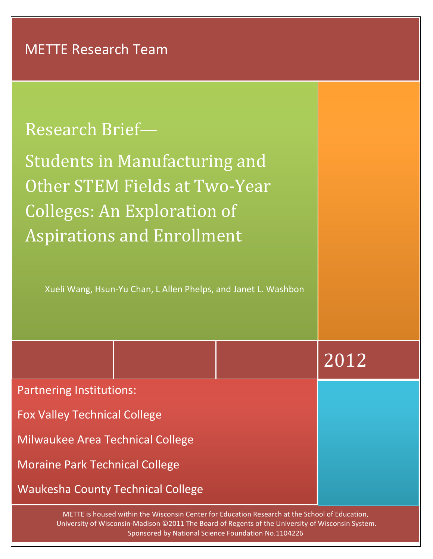| <b>Research Brief-</b>                                                                                                                    |      |
|-------------------------------------------------------------------------------------------------------------------------------------------|------|
| Students in Manufacturing and<br>Other STEM Fields at Two-Year<br><b>Colleges: An Exploration of</b><br><b>Aspirations and Enrollment</b> |      |
| Xueli Wang, Hsun-Yu Chan, L Allen Phelps, and Janet L. Washbon                                                                            |      |
|                                                                                                                                           | 2012 |
| <b>Partnering Institutions:</b>                                                                                                           |      |
| <b>Fox Valley Technical College</b>                                                                                                       |      |
| <b>Milwaukee Area Technical College</b>                                                                                                   |      |
| <b>Moraine Park Technical College</b>                                                                                                     |      |
| <b>Waukesha County Technical College</b>                                                                                                  |      |

METTE is housed within the Wisconsin Center for Education Research at the School of Education, University of Wisconsin-Madison ©2011 The Board of Regents of the University of Wisconsin System. Sponsored by National Science Foundation No.1104226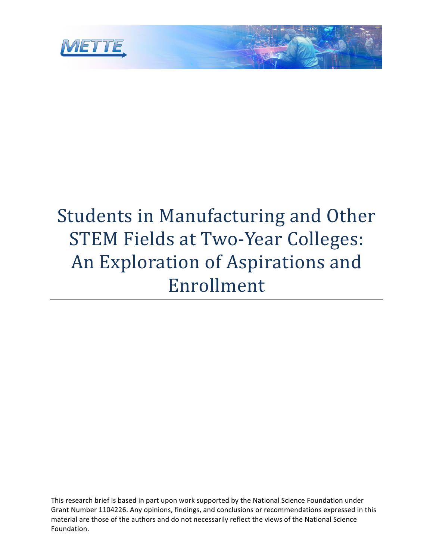

# Students in Manufacturing and Other STEM Fields at Two-Year Colleges: An Exploration of Aspirations and Enrollment

This research brief is based in part upon work supported by the National Science Foundation under Grant Number 1104226. Any opinions, findings, and conclusions or recommendations expressed in this material are those of the authors and do not necessarily reflect the views of the National Science Foundation.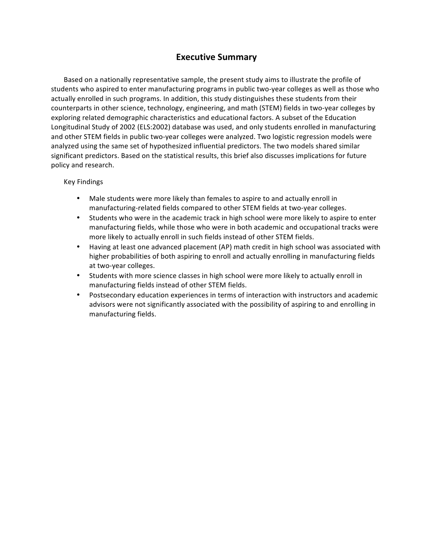# **Executive Summary**

Based on a nationally representative sample, the present study aims to illustrate the profile of students who aspired to enter manufacturing programs in public two-year colleges as well as those who actually enrolled in such programs. In addition, this study distinguishes these students from their counterparts in other science, technology, engineering, and math (STEM) fields in two-year colleges by exploring related demographic characteristics and educational factors. A subset of the Education Longitudinal Study of 2002 (ELS:2002) database was used, and only students enrolled in manufacturing and other STEM fields in public two-year colleges were analyzed. Two logistic regression models were analyzed using the same set of hypothesized influential predictors. The two models shared similar significant predictors. Based on the statistical results, this brief also discusses implications for future policy and research.

### Key Findings

- Male students were more likely than females to aspire to and actually enroll in manufacturing-related fields compared to other STEM fields at two-year colleges.
- Students who were in the academic track in high school were more likely to aspire to enter manufacturing fields, while those who were in both academic and occupational tracks were more likely to actually enroll in such fields instead of other STEM fields.
- Having at least one advanced placement (AP) math credit in high school was associated with higher probabilities of both aspiring to enroll and actually enrolling in manufacturing fields at two-year colleges.
- Students with more science classes in high school were more likely to actually enroll in manufacturing fields instead of other STEM fields.
- Postsecondary education experiences in terms of interaction with instructors and academic advisors were not significantly associated with the possibility of aspiring to and enrolling in manufacturing fields.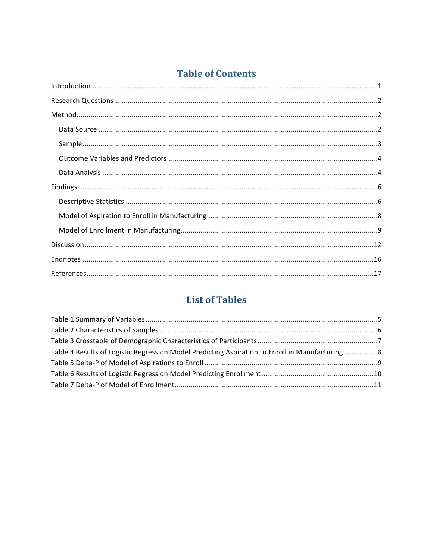# **Table of Contents**

# **List of Tables**

| Table 4 Results of Logistic Regression Model Predicting Aspiration to Enroll in Manufacturing8 |  |
|------------------------------------------------------------------------------------------------|--|
|                                                                                                |  |
|                                                                                                |  |
|                                                                                                |  |
|                                                                                                |  |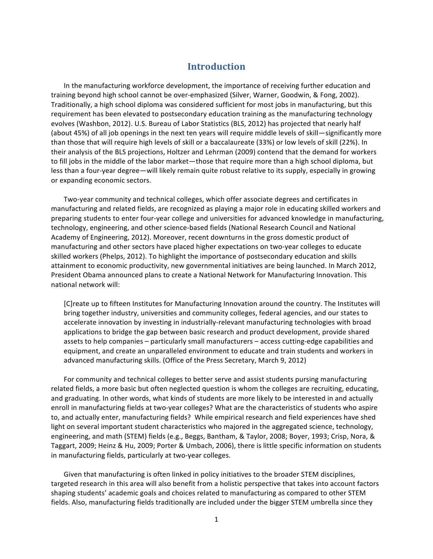## **Introduction**

In the manufacturing workforce development, the importance of receiving further education and training beyond high school cannot be over-emphasized (Silver, Warner, Goodwin, & Fong, 2002). Traditionally, a high school diploma was considered sufficient for most jobs in manufacturing, but this requirement has been elevated to postsecondary education training as the manufacturing technology evolves (Washbon, 2012). U.S. Bureau of Labor Statistics (BLS, 2012) has projected that nearly half (about 45%) of all job openings in the next ten years will require middle levels of skill—significantly more than those that will require high levels of skill or a baccalaureate (33%) or low levels of skill (22%). In their analysis of the BLS projections, Holtzer and Lehrman (2009) contend that the demand for workers to fill jobs in the middle of the labor market—those that require more than a high school diploma, but less than a four-year degree—will likely remain quite robust relative to its supply, especially in growing or expanding economic sectors.

Two-year community and technical colleges, which offer associate degrees and certificates in manufacturing and related fields, are recognized as playing a major role in educating skilled workers and preparing students to enter four-year college and universities for advanced knowledge in manufacturing, technology, engineering, and other science-based fields (National Research Council and National Academy of Engineering, 2012). Moreover, recent downturns in the gross domestic product of manufacturing and other sectors have placed higher expectations on two-year colleges to educate skilled workers (Phelps, 2012). To highlight the importance of postsecondary education and skills attainment to economic productivity, new governmental initiatives are being launched. In March 2012, President Obama announced plans to create a National Network for Manufacturing Innovation. This national network will:

[C]reate up to fifteen Institutes for Manufacturing Innovation around the country. The Institutes will bring together industry, universities and community colleges, federal agencies, and our states to accelerate innovation by investing in industrially-relevant manufacturing technologies with broad applications to bridge the gap between basic research and product development, provide shared assets to help companies - particularly small manufacturers - access cutting-edge capabilities and equipment, and create an unparalleled environment to educate and train students and workers in advanced manufacturing skills. (Office of the Press Secretary, March 9, 2012)

For community and technical colleges to better serve and assist students pursing manufacturing related fields, a more basic but often neglected question is whom the colleges are recruiting, educating, and graduating. In other words, what kinds of students are more likely to be interested in and actually enroll in manufacturing fields at two-year colleges? What are the characteristics of students who aspire to, and actually enter, manufacturing fields? While empirical research and field experiences have shed light on several important student characteristics who majored in the aggregated science, technology, engineering, and math (STEM) fields (e.g., Beggs, Bantham, & Taylor, 2008; Boyer, 1993; Crisp, Nora, & Taggart, 2009; Heinz & Hu, 2009; Porter & Umbach, 2006), there is little specific information on students in manufacturing fields, particularly at two-year colleges.

Given that manufacturing is often linked in policy initiatives to the broader STEM disciplines, targeted research in this area will also benefit from a holistic perspective that takes into account factors shaping students' academic goals and choices related to manufacturing as compared to other STEM fields. Also, manufacturing fields traditionally are included under the bigger STEM umbrella since they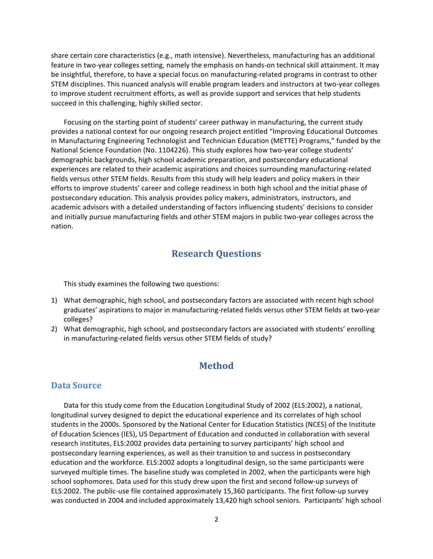share certain core characteristics (e.g., math intensive). Nevertheless, manufacturing has an additional feature in two-year colleges setting, namely the emphasis on hands-on technical skill attainment. It may be insightful, therefore, to have a special focus on manufacturing-related programs in contrast to other STEM disciplines. This nuanced analysis will enable program leaders and instructors at two-year colleges to improve student recruitment efforts, as well as provide support and services that help students succeed in this challenging, highly skilled sector.

Focusing on the starting point of students' career pathway in manufacturing, the current study provides a national context for our ongoing research project entitled "Improving Educational Outcomes in Manufacturing Engineering Technologist and Technician Education (METTE) Programs," funded by the National Science Foundation (No. 1104226). This study explores how two-year college students' demographic backgrounds, high school academic preparation, and postsecondary educational experiences are related to their academic aspirations and choices surrounding manufacturing-related fields versus other STEM fields. Results from this study will help leaders and policy makers in their efforts to improve students' career and college readiness in both high school and the initial phase of postsecondary education. This analysis provides policy makers, administrators, instructors, and academic advisors with a detailed understanding of factors influencing students' decisions to consider and initially pursue manufacturing fields and other STEM majors in public two-year colleges across the nation. 

## **Research Questions**

This study examines the following two questions:

- 1) What demographic, high school, and postsecondary factors are associated with recent high school graduates' aspirations to major in manufacturing-related fields versus other STEM fields at two-year colleges?
- 2) What demographic, high school, and postsecondary factors are associated with students' enrolling in manufacturing-related fields versus other STEM fields of study?

# **Method**

## Data Source

Data for this study come from the Education Longitudinal Study of 2002 (ELS:2002), a national, longitudinal survey designed to depict the educational experience and its correlates of high school students in the 2000s. Sponsored by the National Center for Education Statistics (NCES) of the Institute of Education Sciences (IES), US Department of Education and conducted in collaboration with several research institutes, ELS:2002 provides data pertaining to survey participants' high school and postsecondary learning experiences, as well as their transition to and success in postsecondary education and the workforce. ELS:2002 adopts a longitudinal design, so the same participants were surveyed multiple times. The baseline study was completed in 2002, when the participants were high school sophomores. Data used for this study drew upon the first and second follow-up surveys of ELS:2002. The public-use file contained approximately 15,360 participants. The first follow-up survey was conducted in 2004 and included approximately 13,420 high school seniors. Participants' high school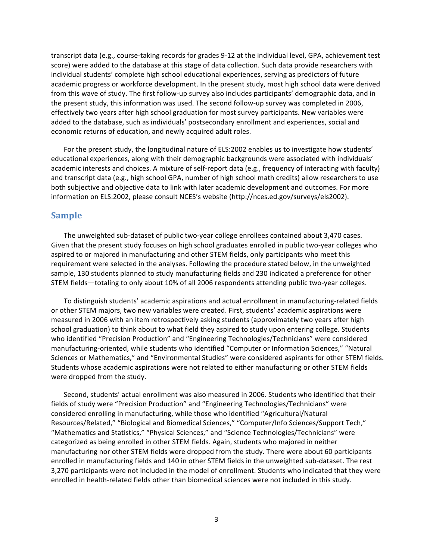transcript data (e.g., course-taking records for grades 9-12 at the individual level, GPA, achievement test score) were added to the database at this stage of data collection. Such data provide researchers with individual students' complete high school educational experiences, serving as predictors of future academic progress or workforce development. In the present study, most high school data were derived from this wave of study. The first follow-up survey also includes participants' demographic data, and in the present study, this information was used. The second follow-up survey was completed in 2006, effectively two years after high school graduation for most survey participants. New variables were added to the database, such as individuals' postsecondary enrollment and experiences, social and economic returns of education, and newly acquired adult roles.

For the present study, the longitudinal nature of ELS:2002 enables us to investigate how students' educational experiences, along with their demographic backgrounds were associated with individuals' academic interests and choices. A mixture of self-report data (e.g., frequency of interacting with faculty) and transcript data (e.g., high school GPA, number of high school math credits) allow researchers to use both subjective and objective data to link with later academic development and outcomes. For more information on ELS:2002, please consult NCES's website (http://nces.ed.gov/surveys/els2002).

#### **Sample**

The unweighted sub-dataset of public two-year college enrollees contained about 3,470 cases. Given that the present study focuses on high school graduates enrolled in public two-year colleges who aspired to or majored in manufacturing and other STEM fields, only participants who meet this requirement were selected in the analyses. Following the procedure stated below, in the unweighted sample, 130 students planned to study manufacturing fields and 230 indicated a preference for other STEM fields-totaling to only about 10% of all 2006 respondents attending public two-year colleges.

To distinguish students' academic aspirations and actual enrollment in manufacturing-related fields or other STEM majors, two new variables were created. First, students' academic aspirations were measured in 2006 with an item retrospectively asking students (approximately two years after high school graduation) to think about to what field they aspired to study upon entering college. Students who identified "Precision Production" and "Engineering Technologies/Technicians" were considered manufacturing-oriented, while students who identified "Computer or Information Sciences," "Natural Sciences or Mathematics," and "Environmental Studies" were considered aspirants for other STEM fields. Students whose academic aspirations were not related to either manufacturing or other STEM fields were dropped from the study.

Second, students' actual enrollment was also measured in 2006. Students who identified that their fields of study were "Precision Production" and "Engineering Technologies/Technicians" were considered enrolling in manufacturing, while those who identified "Agricultural/Natural Resources/Related," "Biological and Biomedical Sciences," "Computer/Info Sciences/Support Tech," "Mathematics and Statistics," "Physical Sciences," and "Science Technologies/Technicians" were categorized as being enrolled in other STEM fields. Again, students who majored in neither manufacturing nor other STEM fields were dropped from the study. There were about 60 participants enrolled in manufacturing fields and 140 in other STEM fields in the unweighted sub-dataset. The rest 3,270 participants were not included in the model of enrollment. Students who indicated that they were enrolled in health-related fields other than biomedical sciences were not included in this study.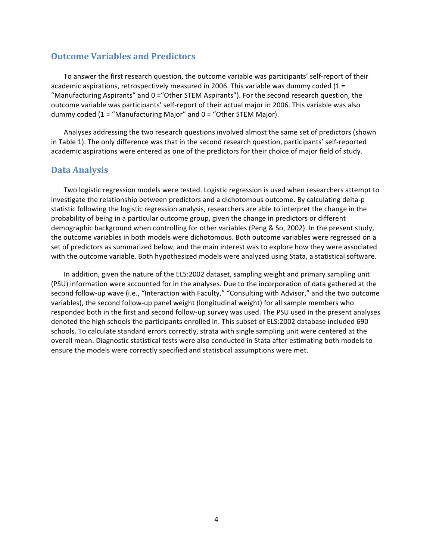## **Outcome Variables and Predictors**

To answer the first research question, the outcome variable was participants' self-report of their academic aspirations, retrospectively measured in 2006. This variable was dummy coded  $(1 =$ "Manufacturing Aspirants" and  $0 =$  "Other STEM Aspirants"). For the second research question, the outcome variable was participants' self-report of their actual major in 2006. This variable was also dummy coded  $(1 = "Mantacturing Major"$  and  $0 = "Other STEM Major)$ .

Analyses addressing the two research questions involved almost the same set of predictors (shown in Table 1). The only difference was that in the second research question, participants' self-reported academic aspirations were entered as one of the predictors for their choice of major field of study.

## **Data Analysis**

Two logistic regression models were tested. Logistic regression is used when researchers attempt to investigate the relationship between predictors and a dichotomous outcome. By calculating delta-p statistic following the logistic regression analysis, researchers are able to interpret the change in the probability of being in a particular outcome group, given the change in predictors or different demographic background when controlling for other variables (Peng & So, 2002). In the present study, the outcome variables in both models were dichotomous. Both outcome variables were regressed on a set of predictors as summarized below, and the main interest was to explore how they were associated with the outcome variable. Both hypothesized models were analyzed using Stata, a statistical software.

In addition, given the nature of the ELS:2002 dataset, sampling weight and primary sampling unit (PSU) information were accounted for in the analyses. Due to the incorporation of data gathered at the second follow-up wave (i.e., "Interaction with Faculty," "Consulting with Advisor," and the two outcome variables), the second follow-up panel weight (longitudinal weight) for all sample members who responded both in the first and second follow-up survey was used. The PSU used in the present analyses denoted the high schools the participants enrolled in. This subset of ELS:2002 database included 690 schools. To calculate standard errors correctly, strata with single sampling unit were centered at the overall mean. Diagnostic statistical tests were also conducted in Stata after estimating both models to ensure the models were correctly specified and statistical assumptions were met.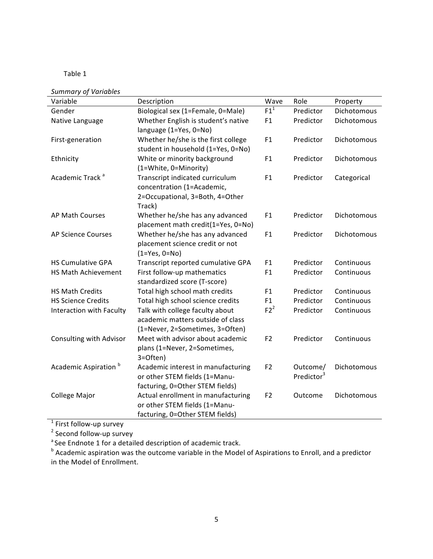## Table 1

*Summary of Variables*

| Variable                         | Description                                        | Wave           | Role                   | Property    |
|----------------------------------|----------------------------------------------------|----------------|------------------------|-------------|
| Gender                           | Biological sex (1=Female, 0=Male)                  | $F1^1$         | Predictor              | Dichotomous |
| Native Language                  | Whether English is student's native                | F1             | Predictor              | Dichotomous |
|                                  | language (1=Yes, 0=No)                             |                |                        |             |
| First-generation                 | Whether he/she is the first college                | F1             | Predictor              | Dichotomous |
|                                  | student in household (1=Yes, 0=No)                 |                |                        |             |
| Ethnicity                        | White or minority background                       | F1             | Predictor              | Dichotomous |
|                                  | (1=White, 0=Minority)                              |                |                        |             |
| Academic Track <sup>a</sup>      | Transcript indicated curriculum                    | F1             | Predictor              | Categorical |
|                                  | concentration (1=Academic,                         |                |                        |             |
|                                  | 2=Occupational, 3=Both, 4=Other                    |                |                        |             |
|                                  | Track)                                             |                |                        |             |
| AP Math Courses                  | Whether he/she has any advanced                    | F1             | Predictor              | Dichotomous |
|                                  | placement math credit(1=Yes, 0=No)                 |                |                        |             |
| <b>AP Science Courses</b>        | Whether he/she has any advanced                    | F1             | Predictor              | Dichotomous |
|                                  | placement science credit or not<br>$(1=Yes, 0=No)$ |                |                        |             |
| <b>HS Cumulative GPA</b>         | Transcript reported cumulative GPA                 | F1             | Predictor              | Continuous  |
| <b>HS Math Achievement</b>       | First follow-up mathematics                        | F1             | Predictor              | Continuous  |
|                                  | standardized score (T-score)                       |                |                        |             |
| <b>HS Math Credits</b>           | Total high school math credits                     | F1             | Predictor              | Continuous  |
| <b>HS Science Credits</b>        | Total high school science credits                  | F1             | Predictor              | Continuous  |
| Interaction with Faculty         | Talk with college faculty about                    | $F2^2$         | Predictor              | Continuous  |
|                                  | academic matters outside of class                  |                |                        |             |
|                                  | (1=Never, 2=Sometimes, 3=Often)                    |                |                        |             |
| Consulting with Advisor          | Meet with advisor about academic                   | F <sub>2</sub> | Predictor              | Continuous  |
|                                  | plans (1=Never, 2=Sometimes,                       |                |                        |             |
|                                  | 3=Often)                                           |                |                        |             |
| Academic Aspiration <sup>b</sup> | Academic interest in manufacturing                 | F <sub>2</sub> | Outcome/               | Dichotomous |
|                                  | or other STEM fields (1=Manu-                      |                | Predictor <sup>3</sup> |             |
|                                  | facturing, 0=Other STEM fields)                    |                |                        |             |
| College Major                    | Actual enrollment in manufacturing                 | F <sub>2</sub> | Outcome                | Dichotomous |
|                                  | or other STEM fields (1=Manu-                      |                |                        |             |
|                                  | facturing, 0=Other STEM fields)                    |                |                        |             |

 $1$  First follow-up survey

<sup>2</sup> Second follow-up survey

<sup>a</sup> See Endnote 1 for a detailed description of academic track.

 $^{\text{b}}$  Academic aspiration was the outcome variable in the Model of Aspirations to Enroll, and a predictor in the Model of Enrollment.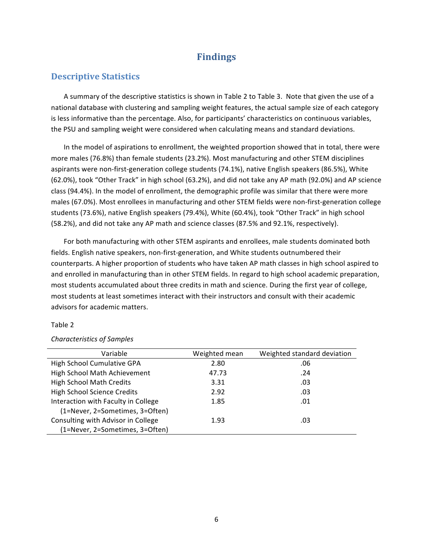# **Findings**

## **Descriptive Statistics**

A summary of the descriptive statistics is shown in Table 2 to Table 3. Note that given the use of a national database with clustering and sampling weight features, the actual sample size of each category is less informative than the percentage. Also, for participants' characteristics on continuous variables, the PSU and sampling weight were considered when calculating means and standard deviations.

In the model of aspirations to enrollment, the weighted proportion showed that in total, there were more males (76.8%) than female students (23.2%). Most manufacturing and other STEM disciplines aspirants were non-first-generation college students (74.1%), native English speakers (86.5%), White (62.0%), took "Other Track" in high school (63.2%), and did not take any AP math (92.0%) and AP science class (94.4%). In the model of enrollment, the demographic profile was similar that there were more males (67.0%). Most enrollees in manufacturing and other STEM fields were non-first-generation college students (73.6%), native English speakers (79.4%), White (60.4%), took "Other Track" in high school (58.2%), and did not take any AP math and science classes (87.5% and 92.1%, respectively).

For both manufacturing with other STEM aspirants and enrollees, male students dominated both fields. English native speakers, non-first-generation, and White students outnumbered their counterparts. A higher proportion of students who have taken AP math classes in high school aspired to and enrolled in manufacturing than in other STEM fields. In regard to high school academic preparation, most students accumulated about three credits in math and science. During the first year of college, most students at least sometimes interact with their instructors and consult with their academic advisors for academic matters.

#### Table 2

| Variable                            | Weighted mean | Weighted standard deviation |
|-------------------------------------|---------------|-----------------------------|
| High School Cumulative GPA          | 2.80          | .06                         |
| High School Math Achievement        | 47.73         | .24                         |
| <b>High School Math Credits</b>     | 3.31          | .03                         |
| <b>High School Science Credits</b>  | 2.92          | .03                         |
| Interaction with Faculty in College | 1.85          | .01                         |
| (1=Never, 2=Sometimes, 3=Often)     |               |                             |
| Consulting with Advisor in College  | 1.93          | .03                         |
| (1=Never, 2=Sometimes, 3=Often)     |               |                             |

#### *Characteristics of Samples*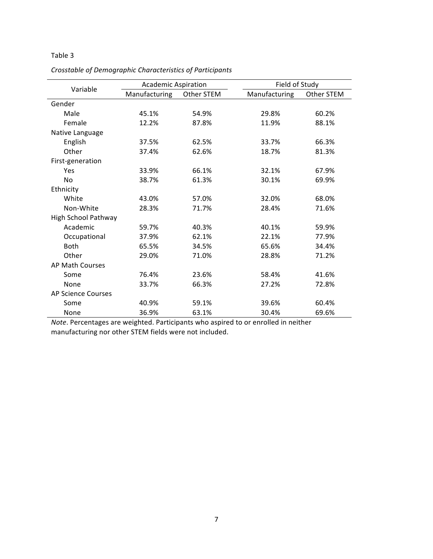## Table 3

|                            | <b>Academic Aspiration</b> |            | Field of Study |            |
|----------------------------|----------------------------|------------|----------------|------------|
| Variable                   | Manufacturing              | Other STEM | Manufacturing  | Other STEM |
| Gender                     |                            |            |                |            |
| Male                       | 45.1%                      | 54.9%      | 29.8%          | 60.2%      |
| Female                     | 12.2%                      | 87.8%      | 11.9%          | 88.1%      |
| Native Language            |                            |            |                |            |
| English                    | 37.5%                      | 62.5%      | 33.7%          | 66.3%      |
| Other                      | 37.4%                      | 62.6%      | 18.7%          | 81.3%      |
| First-generation           |                            |            |                |            |
| Yes                        | 33.9%                      | 66.1%      | 32.1%          | 67.9%      |
| <b>No</b>                  | 38.7%                      | 61.3%      | 30.1%          | 69.9%      |
| Ethnicity                  |                            |            |                |            |
| White                      | 43.0%                      | 57.0%      | 32.0%          | 68.0%      |
| Non-White                  | 28.3%                      | 71.7%      | 28.4%          | 71.6%      |
| <b>High School Pathway</b> |                            |            |                |            |
| Academic                   | 59.7%                      | 40.3%      | 40.1%          | 59.9%      |
| Occupational               | 37.9%                      | 62.1%      | 22.1%          | 77.9%      |
| <b>Both</b>                | 65.5%                      | 34.5%      | 65.6%          | 34.4%      |
| Other                      | 29.0%                      | 71.0%      | 28.8%          | 71.2%      |
| AP Math Courses            |                            |            |                |            |
| Some                       | 76.4%                      | 23.6%      | 58.4%          | 41.6%      |
| None                       | 33.7%                      | 66.3%      | 27.2%          | 72.8%      |
| <b>AP Science Courses</b>  |                            |            |                |            |
| Some                       | 40.9%                      | 59.1%      | 39.6%          | 60.4%      |
| None                       | 36.9%                      | 63.1%      | 30.4%          | 69.6%      |

*Crosstable of Demographic Characteristics of Participants*

*Note*. Percentages are weighted. Participants who aspired to or enrolled in neither manufacturing nor other STEM fields were not included.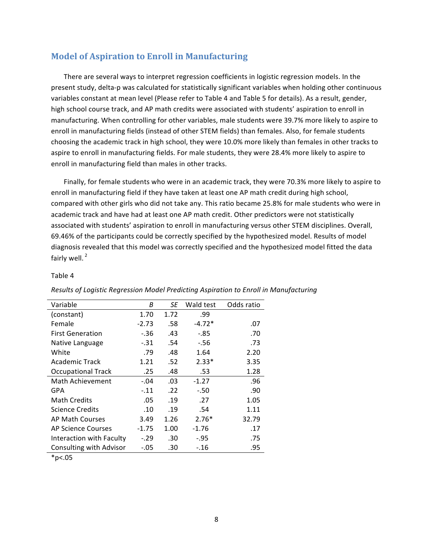## **Model of Aspiration to Enroll in Manufacturing**

There are several ways to interpret regression coefficients in logistic regression models. In the present study, delta-p was calculated for statistically significant variables when holding other continuous variables constant at mean level (Please refer to Table 4 and Table 5 for details). As a result, gender, high school course track, and AP math credits were associated with students' aspiration to enroll in manufacturing. When controlling for other variables, male students were 39.7% more likely to aspire to enroll in manufacturing fields (instead of other STEM fields) than females. Also, for female students choosing the academic track in high school, they were 10.0% more likely than females in other tracks to aspire to enroll in manufacturing fields. For male students, they were 28.4% more likely to aspire to enroll in manufacturing field than males in other tracks.

Finally, for female students who were in an academic track, they were 70.3% more likely to aspire to enroll in manufacturing field if they have taken at least one AP math credit during high school, compared with other girls who did not take any. This ratio became 25.8% for male students who were in academic track and have had at least one AP math credit. Other predictors were not statistically associated with students' aspiration to enroll in manufacturing versus other STEM disciplines. Overall, 69.46% of the participants could be correctly specified by the hypothesized model. Results of model diagnosis revealed that this model was correctly specified and the hypothesized model fitted the data fairly well. $<sup>2</sup>$ </sup>

#### Table 4

| Variable                  | В       | SE   | Wald test | Odds ratio |
|---------------------------|---------|------|-----------|------------|
| (constant)                | 1.70    | 1.72 | .99       |            |
| Female                    | $-2.73$ | .58  | $-4.72*$  | .07        |
| <b>First Generation</b>   | $-.36$  | .43  | -.85      | .70        |
| Native Language           | $-.31$  | .54  | $-56$     | .73        |
| White                     | .79     | .48  | 1.64      | 2.20       |
| Academic Track            | 1.21    | .52  | $2.33*$   | 3.35       |
| <b>Occupational Track</b> | .25     | .48  | .53       | 1.28       |
| Math Achievement          | $-.04$  | .03  | $-1.27$   | .96        |
| GPA                       | $-.11$  | .22  | $-.50$    | .90        |
| <b>Math Credits</b>       | .05     | .19  | .27       | 1.05       |
| <b>Science Credits</b>    | .10     | .19  | .54       | 1.11       |
| AP Math Courses           | 3.49    | 1.26 | $2.76*$   | 32.79      |
| <b>AP Science Courses</b> | $-1.75$ | 1.00 | -1.76     | .17        |
| Interaction with Faculty  | $-.29$  | .30  | $-.95$    | .75        |
| Consulting with Advisor   | $-.05$  | .30  | $-.16$    | .95        |

#### *Results of Logistic Regression Model Predicting Aspiration to Enroll in Manufacturing*

 $*p<.05$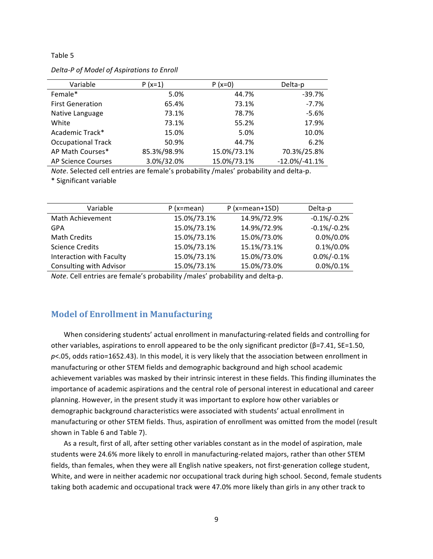#### Table 5

| Variable                  | $P(x=1)$    | $P(x=0)$    | Delta-p            |
|---------------------------|-------------|-------------|--------------------|
| Female*                   | 5.0%        | 44.7%       | $-39.7%$           |
| <b>First Generation</b>   | 65.4%       | 73.1%       | $-7.7%$            |
| Native Language           | 73.1%       | 78.7%       | $-5.6%$            |
| White                     | 73.1%       | 55.2%       | 17.9%              |
| Academic Track*           | 15.0%       | 5.0%        | 10.0%              |
| <b>Occupational Track</b> | 50.9%       | 44.7%       | 6.2%               |
| AP Math Courses*          | 85.3%/98.9% | 15.0%/73.1% | 70.3%/25.8%        |
| <b>AP Science Courses</b> | 3.0%/32.0%  | 15.0%/73.1% | $-12.0\%/ -41.1\%$ |

**Delta-P** of Model of Aspirations to Enroll

*Note*. Selected cell entries are female's probability /males' probability and delta-p.

\* Significant variable

| Variable                 | $P$ (x=mean) | $P$ (x=mean+1SD) | Delta-p        |
|--------------------------|--------------|------------------|----------------|
| Math Achievement         | 15.0%/73.1%  | 14.9%/72.9%      | $-0.1\%/0.2\%$ |
| <b>GPA</b>               | 15.0%/73.1%  | 14.9%/72.9%      | $-0.1\%/0.2\%$ |
| Math Credits             | 15.0%/73.1%  | 15.0%/73.0%      | $0.0\%/0.0\%$  |
| <b>Science Credits</b>   | 15.0%/73.1%  | 15.1%/73.1%      | $0.1\%/0.0\%$  |
| Interaction with Faculty | 15.0%/73.1%  | 15.0%/73.0%      | $0.0\%/0.1\%$  |
| Consulting with Advisor  | 15.0%/73.1%  | 15.0%/73.0%      | $0.0\%/0.1\%$  |
|                          |              |                  |                |

*Note*. Cell entries are female's probability /males' probability and delta-p.

## **Model of Enrollment in Manufacturing**

When considering students' actual enrollment in manufacturing-related fields and controlling for other variables, aspirations to enroll appeared to be the only significant predictor ( $\beta$ =7.41, SE=1.50,  $p$ <.05, odds ratio=1652.43). In this model, it is very likely that the association between enrollment in manufacturing or other STEM fields and demographic background and high school academic achievement variables was masked by their intrinsic interest in these fields. This finding illuminates the importance of academic aspirations and the central role of personal interest in educational and career planning. However, in the present study it was important to explore how other variables or demographic background characteristics were associated with students' actual enrollment in manufacturing or other STEM fields. Thus, aspiration of enrollment was omitted from the model (result shown in Table 6 and Table 7).

As a result, first of all, after setting other variables constant as in the model of aspiration, male students were 24.6% more likely to enroll in manufacturing-related majors, rather than other STEM fields, than females, when they were all English native speakers, not first-generation college student, White, and were in neither academic nor occupational track during high school. Second, female students taking both academic and occupational track were 47.0% more likely than girls in any other track to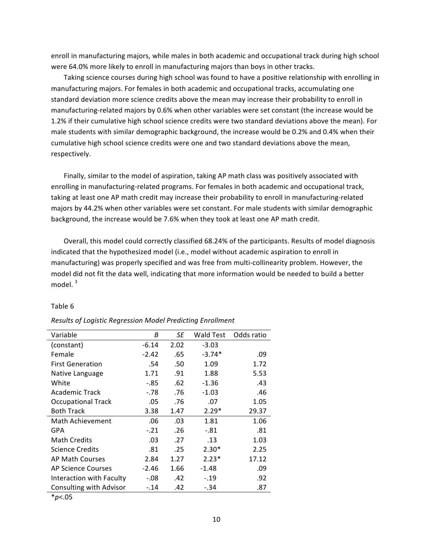enroll in manufacturing majors, while males in both academic and occupational track during high school were 64.0% more likely to enroll in manufacturing majors than boys in other tracks.

Taking science courses during high school was found to have a positive relationship with enrolling in manufacturing majors. For females in both academic and occupational tracks, accumulating one standard deviation more science credits above the mean may increase their probability to enroll in manufacturing-related majors by 0.6% when other variables were set constant (the increase would be 1.2% if their cumulative high school science credits were two standard deviations above the mean). For male students with similar demographic background, the increase would be 0.2% and 0.4% when their cumulative high school science credits were one and two standard deviations above the mean, respectively.

Finally, similar to the model of aspiration, taking AP math class was positively associated with enrolling in manufacturing-related programs. For females in both academic and occupational track, taking at least one AP math credit may increase their probability to enroll in manufacturing-related majors by 44.2% when other variables were set constant. For male students with similar demographic background, the increase would be 7.6% when they took at least one AP math credit.

Overall, this model could correctly classified 68.24% of the participants. Results of model diagnosis indicated that the hypothesized model (i.e., model without academic aspiration to enroll in manufacturing) was properly specified and was free from multi-collinearity problem. However, the model did not fit the data well, indicating that more information would be needed to build a better model. $3$ 

| Variable                  | В       | SE   | Wald Test | Odds ratio |
|---------------------------|---------|------|-----------|------------|
| (constant)                | $-6.14$ | 2.02 | $-3.03$   |            |
| Female                    | $-2.42$ | .65  | $-3.74*$  | .09        |
| <b>First Generation</b>   | .54     | .50  | 1.09      | 1.72       |
| Native Language           | 1.71    | .91  | 1.88      | 5.53       |
| White                     | $-.85$  | .62  | $-1.36$   | .43        |
| <b>Academic Track</b>     | $-.78$  | .76  | $-1.03$   | .46        |
| <b>Occupational Track</b> | .05     | .76  | .07       | 1.05       |
| <b>Both Track</b>         | 3.38    | 1.47 | $2.29*$   | 29.37      |
| Math Achievement          | .06     | .03  | 1.81      | 1.06       |
| GPA                       | $-.21$  | .26  | $-.81$    | .81        |
| <b>Math Credits</b>       | .03     | .27  | .13       | 1.03       |
| <b>Science Credits</b>    | .81     | .25  | $2.30*$   | 2.25       |
| <b>AP Math Courses</b>    | 2.84    | 1.27 | $2.23*$   | 17.12      |
| <b>AP Science Courses</b> | $-2.46$ | 1.66 | $-1.48$   | .09        |
| Interaction with Faculty  | $-.08$  | .42  | $-.19$    | .92        |
| Consulting with Advisor   | $-.14$  | .42  | $-.34$    | .87        |
|                           |         |      |           |            |

#### Table 6

#### *Results of Logistic Regression Model Predicting Enrollment*

\**p*<.05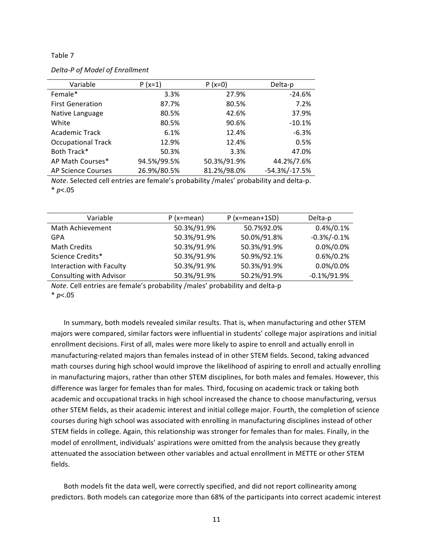#### Table 7

*Delta-P of Model of Enrollment*

| Variable                  | $P(x=1)$    | $P(x=0)$    | Delta-p            |
|---------------------------|-------------|-------------|--------------------|
| Female*                   | 3.3%        | 27.9%       | $-24.6%$           |
| <b>First Generation</b>   | 87.7%       | 80.5%       | 7.2%               |
| Native Language           | 80.5%       | 42.6%       | 37.9%              |
| White                     | 80.5%       | 90.6%       | $-10.1%$           |
| Academic Track            | 6.1%        | 12.4%       | $-6.3%$            |
| <b>Occupational Track</b> | 12.9%       | 12.4%       | 0.5%               |
| Both Track*               | 50.3%       | 3.3%        | 47.0%              |
| AP Math Courses*          | 94.5%/99.5% | 50.3%/91.9% | 44.2%/7.6%         |
| AP Science Courses        | 26.9%/80.5% | 81.2%/98.0% | $-54.3\%/ -17.5\%$ |

*Note*. Selected cell entries are female's probability /males' probability and delta-p.

\* *p*<.05

| Variable                       | $P(x=mean)$ | $P$ (x=mean+1SD) | Delta-p         |
|--------------------------------|-------------|------------------|-----------------|
| Math Achievement               | 50.3%/91.9% | 50.7%92.0%       | $0.4\%/0.1\%$   |
| GPA                            | 50.3%/91.9% | 50.0%/91.8%      | $-0.3\%/0.1\%$  |
| Math Credits                   | 50.3%/91.9% | 50.3%/91.9%      | $0.0\%/0.0\%$   |
| Science Credits*               | 50.3%/91.9% | 50.9%/92.1%      | $0.6\%/0.2\%$   |
| Interaction with Faculty       | 50.3%/91.9% | 50.3%/91.9%      | $0.0\%/0.0\%$   |
| <b>Consulting with Advisor</b> | 50.3%/91.9% | 50.2%/91.9%      | $-0.1\%/91.9\%$ |

*Note*. Cell entries are female's probability /males' probability and delta-p

\* *p*<.05

In summary, both models revealed similar results. That is, when manufacturing and other STEM majors were compared, similar factors were influential in students' college major aspirations and initial enrollment decisions. First of all, males were more likely to aspire to enroll and actually enroll in manufacturing-related majors than females instead of in other STEM fields. Second, taking advanced math courses during high school would improve the likelihood of aspiring to enroll and actually enrolling in manufacturing majors, rather than other STEM disciplines, for both males and females. However, this difference was larger for females than for males. Third, focusing on academic track or taking both academic and occupational tracks in high school increased the chance to choose manufacturing, versus other STEM fields, as their academic interest and initial college major. Fourth, the completion of science courses during high school was associated with enrolling in manufacturing disciplines instead of other STEM fields in college. Again, this relationship was stronger for females than for males. Finally, in the model of enrollment, individuals' aspirations were omitted from the analysis because they greatly attenuated the association between other variables and actual enrollment in METTE or other STEM fields.

Both models fit the data well, were correctly specified, and did not report collinearity among predictors. Both models can categorize more than 68% of the participants into correct academic interest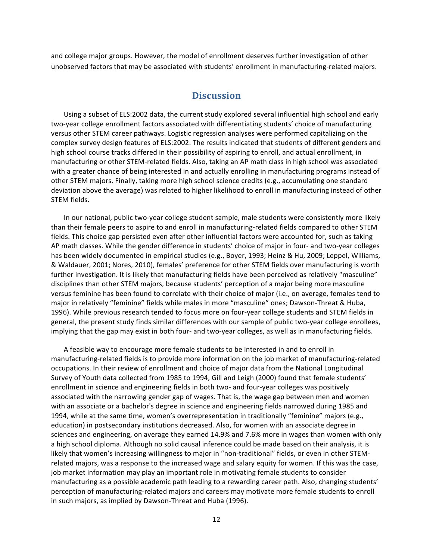and college major groups. However, the model of enrollment deserves further investigation of other unobserved factors that may be associated with students' enrollment in manufacturing-related majors.

## **Discussion**

Using a subset of ELS:2002 data, the current study explored several influential high school and early two-year college enrollment factors associated with differentiating students' choice of manufacturing versus other STEM career pathways. Logistic regression analyses were performed capitalizing on the complex survey design features of ELS:2002. The results indicated that students of different genders and high school course tracks differed in their possibility of aspiring to enroll, and actual enrollment, in manufacturing or other STEM-related fields. Also, taking an AP math class in high school was associated with a greater chance of being interested in and actually enrolling in manufacturing programs instead of other STEM majors. Finally, taking more high school science credits (e.g., accumulating one standard deviation above the average) was related to higher likelihood to enroll in manufacturing instead of other STEM fields.

In our national, public two-year college student sample, male students were consistently more likely than their female peers to aspire to and enroll in manufacturing-related fields compared to other STEM fields. This choice gap persisted even after other influential factors were accounted for, such as taking AP math classes. While the gender difference in students' choice of major in four- and two-year colleges has been widely documented in empirical studies (e.g., Boyer, 1993; Heinz & Hu, 2009; Leppel, Williams, & Waldauer, 2001; Nores, 2010), females' preference for other STEM fields over manufacturing is worth further investigation. It is likely that manufacturing fields have been perceived as relatively "masculine" disciplines than other STEM majors, because students' perception of a major being more masculine versus feminine has been found to correlate with their choice of major (i.e., on average, females tend to major in relatively "feminine" fields while males in more "masculine" ones; Dawson-Threat & Huba, 1996). While previous research tended to focus more on four-year college students and STEM fields in general, the present study finds similar differences with our sample of public two-year college enrollees, implying that the gap may exist in both four- and two-year colleges, as well as in manufacturing fields.

A feasible way to encourage more female students to be interested in and to enroll in manufacturing-related fields is to provide more information on the job market of manufacturing-related occupations. In their review of enrollment and choice of major data from the National Longitudinal Survey of Youth data collected from 1985 to 1994, Gill and Leigh (2000) found that female students' enrollment in science and engineering fields in both two- and four-year colleges was positively associated with the narrowing gender gap of wages. That is, the wage gap between men and women with an associate or a bachelor's degree in science and engineering fields narrowed during 1985 and 1994, while at the same time, women's overrepresentation in traditionally "feminine" majors (e.g., education) in postsecondary institutions decreased. Also, for women with an associate degree in sciences and engineering, on average they earned 14.9% and 7.6% more in wages than women with only a high school diploma. Although no solid causal inference could be made based on their analysis, it is likely that women's increasing willingness to major in "non-traditional" fields, or even in other STEMrelated majors, was a response to the increased wage and salary equity for women. If this was the case, job market information may play an important role in motivating female students to consider manufacturing as a possible academic path leading to a rewarding career path. Also, changing students' perception of manufacturing-related majors and careers may motivate more female students to enroll in such majors, as implied by Dawson-Threat and Huba (1996).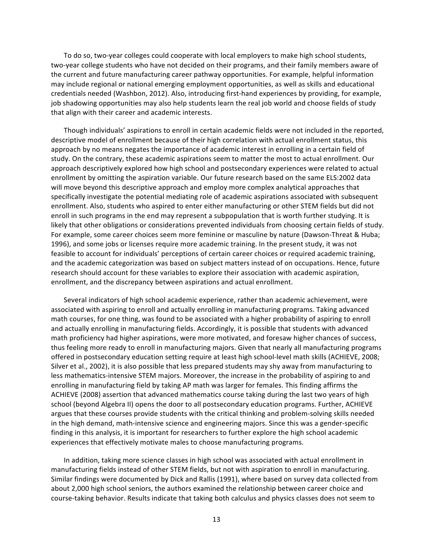To do so, two-year colleges could cooperate with local employers to make high school students, two-year college students who have not decided on their programs, and their family members aware of the current and future manufacturing career pathway opportunities. For example, helpful information may include regional or national emerging employment opportunities, as well as skills and educational credentials needed (Washbon, 2012). Also, introducing first-hand experiences by providing, for example, job shadowing opportunities may also help students learn the real job world and choose fields of study that align with their career and academic interests.

Though individuals' aspirations to enroll in certain academic fields were not included in the reported, descriptive model of enrollment because of their high correlation with actual enrollment status, this approach by no means negates the importance of academic interest in enrolling in a certain field of study. On the contrary, these academic aspirations seem to matter the most to actual enrollment. Our approach descriptively explored how high school and postsecondary experiences were related to actual enrollment by omitting the aspiration variable. Our future research based on the same ELS:2002 data will move beyond this descriptive approach and employ more complex analytical approaches that specifically investigate the potential mediating role of academic aspirations associated with subsequent enrollment. Also, students who aspired to enter either manufacturing or other STEM fields but did not enroll in such programs in the end may represent a subpopulation that is worth further studying. It is likely that other obligations or considerations prevented individuals from choosing certain fields of study. For example, some career choices seem more feminine or masculine by nature (Dawson-Threat & Huba; 1996), and some jobs or licenses require more academic training. In the present study, it was not feasible to account for individuals' perceptions of certain career choices or required academic training, and the academic categorization was based on subject matters instead of on occupations. Hence, future research should account for these variables to explore their association with academic aspiration, enrollment, and the discrepancy between aspirations and actual enrollment.

Several indicators of high school academic experience, rather than academic achievement, were associated with aspiring to enroll and actually enrolling in manufacturing programs. Taking advanced math courses, for one thing, was found to be associated with a higher probability of aspiring to enroll and actually enrolling in manufacturing fields. Accordingly, it is possible that students with advanced math proficiency had higher aspirations, were more motivated, and foresaw higher chances of success, thus feeling more ready to enroll in manufacturing majors. Given that nearly all manufacturing programs offered in postsecondary education setting require at least high school-level math skills (ACHIEVE, 2008; Silver et al., 2002), it is also possible that less prepared students may shy away from manufacturing to less mathematics-intensive STEM majors. Moreover, the increase in the probability of aspiring to and enrolling in manufacturing field by taking AP math was larger for females. This finding affirms the ACHIEVE (2008) assertion that advanced mathematics course taking during the last two years of high school (beyond Algebra II) opens the door to all postsecondary education programs. Further, ACHIEVE argues that these courses provide students with the critical thinking and problem-solving skills needed in the high demand, math-intensive science and engineering majors. Since this was a gender-specific finding in this analysis, it is important for researchers to further explore the high school academic experiences that effectively motivate males to choose manufacturing programs.

In addition, taking more science classes in high school was associated with actual enrollment in manufacturing fields instead of other STEM fields, but not with aspiration to enroll in manufacturing. Similar findings were documented by Dick and Rallis (1991), where based on survey data collected from about 2,000 high school seniors, the authors examined the relationship between career choice and course-taking behavior. Results indicate that taking both calculus and physics classes does not seem to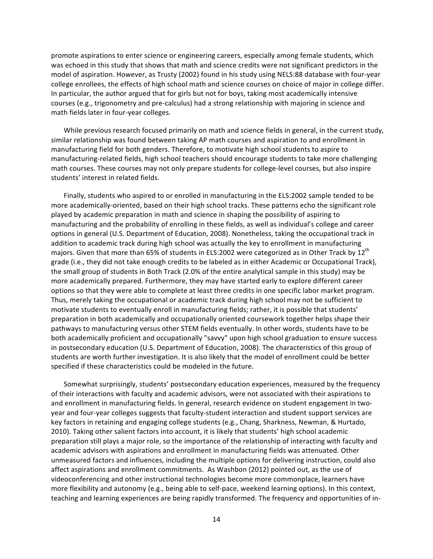promote aspirations to enter science or engineering careers, especially among female students, which was echoed in this study that shows that math and science credits were not significant predictors in the model of aspiration. However, as Trusty (2002) found in his study using NELS:88 database with four-year college enrollees, the effects of high school math and science courses on choice of major in college differ. In particular, the author argued that for girls but not for boys, taking most academically intensive courses (e.g., trigonometry and pre-calculus) had a strong relationship with majoring in science and math fields later in four-year colleges.

While previous research focused primarily on math and science fields in general, in the current study, similar relationship was found between taking AP math courses and aspiration to and enrollment in manufacturing field for both genders. Therefore, to motivate high school students to aspire to manufacturing-related fields, high school teachers should encourage students to take more challenging math courses. These courses may not only prepare students for college-level courses, but also inspire students' interest in related fields.

Finally, students who aspired to or enrolled in manufacturing in the ELS:2002 sample tended to be more academically-oriented, based on their high school tracks. These patterns echo the significant role played by academic preparation in math and science in shaping the possibility of aspiring to manufacturing and the probability of enrolling in these fields, as well as individual's college and career options in general (U.S. Department of Education, 2008). Nonetheless, taking the occupational track in addition to academic track during high school was actually the key to enrollment in manufacturing majors. Given that more than 65% of students in ELS:2002 were categorized as in Other Track by 12<sup>th</sup> grade (i.e., they did not take enough credits to be labeled as in either Academic or Occupational Track), the small group of students in Both Track (2.0% of the entire analytical sample in this study) may be more academically prepared. Furthermore, they may have started early to explore different career options so that they were able to complete at least three credits in one specific labor market program. Thus, merely taking the occupational or academic track during high school may not be sufficient to motivate students to eventually enroll in manufacturing fields; rather, it is possible that students' preparation in both academically and occupationally oriented coursework together helps shape their pathways to manufacturing versus other STEM fields eventually. In other words, students have to be both academically proficient and occupationally "savvy" upon high school graduation to ensure success in postsecondary education (U.S. Department of Education, 2008). The characteristics of this group of students are worth further investigation. It is also likely that the model of enrollment could be better specified if these characteristics could be modeled in the future.

Somewhat surprisingly, students' postsecondary education experiences, measured by the frequency of their interactions with faculty and academic advisors, were not associated with their aspirations to and enrollment in manufacturing fields. In general, research evidence on student engagement in twoyear and four-year colleges suggests that faculty-student interaction and student support services are key factors in retaining and engaging college students (e.g., Chang, Sharkness, Newman, & Hurtado, 2010). Taking other salient factors into account, it is likely that students' high school academic preparation still plays a major role, so the importance of the relationship of interacting with faculty and academic advisors with aspirations and enrollment in manufacturing fields was attenuated. Other unmeasured factors and influences, including the multiple options for delivering instruction, could also affect aspirations and enrollment commitments. As Washbon (2012) pointed out, as the use of videoconferencing and other instructional technologies become more commonplace, learners have more flexibility and autonomy (e.g., being able to self-pace, weekend learning options). In this context, teaching and learning experiences are being rapidly transformed. The frequency and opportunities of in-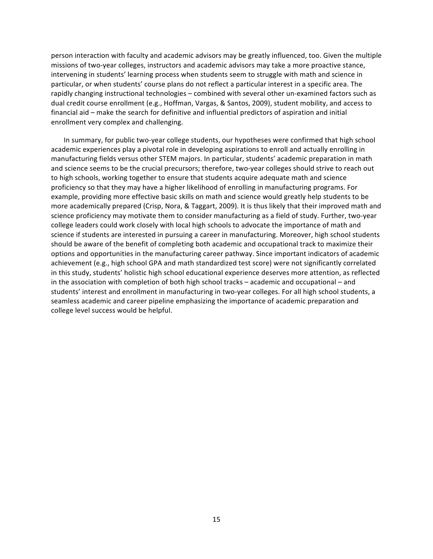person interaction with faculty and academic advisors may be greatly influenced, too. Given the multiple missions of two-year colleges, instructors and academic advisors may take a more proactive stance, intervening in students' learning process when students seem to struggle with math and science in particular, or when students' course plans do not reflect a particular interest in a specific area. The rapidly changing instructional technologies – combined with several other un-examined factors such as dual credit course enrollment (e.g., Hoffman, Vargas, & Santos, 2009), student mobility, and access to financial aid – make the search for definitive and influential predictors of aspiration and initial enrollment very complex and challenging.

In summary, for public two-year college students, our hypotheses were confirmed that high school academic experiences play a pivotal role in developing aspirations to enroll and actually enrolling in manufacturing fields versus other STEM majors. In particular, students' academic preparation in math and science seems to be the crucial precursors; therefore, two-year colleges should strive to reach out to high schools, working together to ensure that students acquire adequate math and science proficiency so that they may have a higher likelihood of enrolling in manufacturing programs. For example, providing more effective basic skills on math and science would greatly help students to be more academically prepared (Crisp, Nora, & Taggart, 2009). It is thus likely that their improved math and science proficiency may motivate them to consider manufacturing as a field of study. Further, two-year college leaders could work closely with local high schools to advocate the importance of math and science if students are interested in pursuing a career in manufacturing. Moreover, high school students should be aware of the benefit of completing both academic and occupational track to maximize their options and opportunities in the manufacturing career pathway. Since important indicators of academic achievement (e.g., high school GPA and math standardized test score) were not significantly correlated in this study, students' holistic high school educational experience deserves more attention, as reflected in the association with completion of both high school tracks – academic and occupational – and students' interest and enrollment in manufacturing in two-year colleges. For all high school students, a seamless academic and career pipeline emphasizing the importance of academic preparation and college level success would be helpful.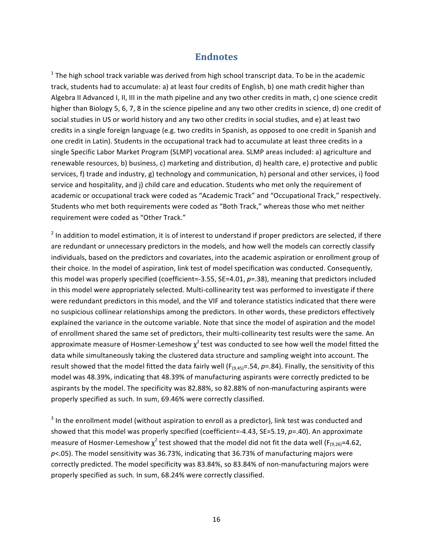# **Endnotes**

 $<sup>1</sup>$  The high school track variable was derived from high school transcript data. To be in the academic</sup> track, students had to accumulate: a) at least four credits of English, b) one math credit higher than Algebra II Advanced I, II, III in the math pipeline and any two other credits in math, c) one science credit higher than Biology 5, 6, 7, 8 in the science pipeline and any two other credits in science, d) one credit of social studies in US or world history and any two other credits in social studies, and e) at least two credits in a single foreign language (e.g. two credits in Spanish, as opposed to one credit in Spanish and one credit in Latin). Students in the occupational track had to accumulate at least three credits in a single Specific Labor Market Program (SLMP) vocational area. SLMP areas included: a) agriculture and renewable resources, b) business, c) marketing and distribution, d) health care, e) protective and public services, f) trade and industry, g) technology and communication, h) personal and other services, i) food service and hospitality, and j) child care and education. Students who met only the requirement of academic or occupational track were coded as "Academic Track" and "Occupational Track," respectively. Students who met both requirements were coded as "Both Track," whereas those who met neither requirement were coded as "Other Track."

 $2$  In addition to model estimation, it is of interest to understand if proper predictors are selected, if there are redundant or unnecessary predictors in the models, and how well the models can correctly classify individuals, based on the predictors and covariates, into the academic aspiration or enrollment group of their choice. In the model of aspiration, link test of model specification was conducted. Consequently, this model was properly specified (coefficient=-3.55, SE=4.01,  $p=$ .38), meaning that predictors included in this model were appropriately selected. Multi-collinearity test was performed to investigate if there were redundant predictors in this model, and the VIF and tolerance statistics indicated that there were no suspicious collinear relationships among the predictors. In other words, these predictors effectively explained the variance in the outcome variable. Note that since the model of aspiration and the model of enrollment shared the same set of predictors, their multi-collinearity test results were the same. An approximate measure of Hosmer-Lemeshow  $\chi^2$  test was conducted to see how well the model fitted the data while simultaneously taking the clustered data structure and sampling weight into account. The result showed that the model fitted the data fairly well  $(F_{(9,45)}=0.54, p=.84)$ . Finally, the sensitivity of this model was 48.39%, indicating that 48.39% of manufacturing aspirants were correctly predicted to be aspirants by the model. The specificity was 82.88%, so 82.88% of non-manufacturing aspirants were properly specified as such. In sum, 69.46% were correctly classified.

 $3$  In the enrollment model (without aspiration to enroll as a predictor), link test was conducted and showed that this model was properly specified (coefficient=-4.43, SE=5.19, p=.40). An approximate measure of Hosmer-Lemeshow  $\chi^2$  test showed that the model did not fit the data well (F<sub>(9,26)</sub>=4.62,  $p$ <.05). The model sensitivity was 36.73%, indicating that 36.73% of manufacturing majors were correctly predicted. The model specificity was 83.84%, so 83.84% of non-manufacturing majors were properly specified as such. In sum, 68.24% were correctly classified.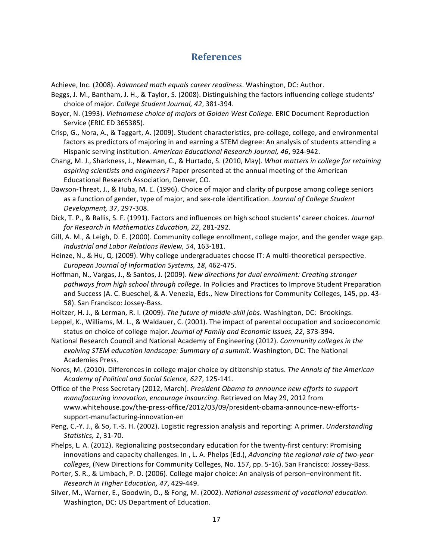# **References**

Achieve, Inc. (2008). *Advanced math equals career readiness*. Washington, DC: Author.

- Beggs, J. M., Bantham, J. H., & Taylor, S. (2008). Distinguishing the factors influencing college students' choice of major. *College Student Journal, 42, 381-394*.
- Boyer, N. (1993). *Vietnamese choice of majors at Golden West College*. ERIC Document Reproduction Service (ERIC ED 365385).
- Crisp, G., Nora, A., & Taggart, A. (2009). Student characteristics, pre-college, college, and environmental factors as predictors of majoring in and earning a STEM degree: An analysis of students attending a Hispanic serving institution. American Educational Research Journal, 46, 924-942.
- Chang, M. J., Sharkness, J., Newman, C., & Hurtado, S. (2010, May). What matters in college for retaining aspiring scientists and engineers? Paper presented at the annual meeting of the American Educational Research Association, Denver, CO.
- Dawson-Threat, J., & Huba, M. E. (1996). Choice of major and clarity of purpose among college seniors as a function of gender, type of major, and sex-role identification. *Journal of College Student Development, 37*, 297-308.
- Dick, T. P., & Rallis, S. F. (1991). Factors and influences on high school students' career choices. *Journal* for Research in Mathematics Education, 22, 281-292.
- Gill, A. M., & Leigh, D. E. (2000). Community college enrollment, college major, and the gender wage gap. *Industrial and Labor Relations Review, 54*, 163-181.
- Heinze, N., & Hu, Q. (2009). Why college undergraduates choose IT: A multi-theoretical perspective. *European Journal of Information Systems, 18*, 462-475.
- Hoffman, N., Vargas, J., & Santos, J. (2009). *New directions for dual enrollment: Creating stronger* pathways from high school through college. In Policies and Practices to Improve Student Preparation and Success (A. C. Bueschel, & A. Venezia, Eds., New Directions for Community Colleges, 145, pp. 43-58). San Francisco: Jossey-Bass.
- Holtzer, H. J., & Lerman, R. I. (2009). *The future of middle-skill jobs*. Washington, DC: Brookings.
- Leppel, K., Williams, M. L., & Waldauer, C. (2001). The impact of parental occupation and socioeconomic status on choice of college major. *Journal of Family and Economic Issues, 22, 373-394.*
- National Research Council and National Academy of Engineering (2012). Community colleges in the evolving STEM education landscape: Summary of a summit. Washington, DC: The National Academies Press.
- Nores, M. (2010). Differences in college major choice by citizenship status. The Annals of the American *Academy of Political and Social Science, 627*, 125-141.
- Office of the Press Secretary (2012, March). *President Obama to announce new efforts to support manufacturing innovation, encourage insourcing*. Retrieved on May 29, 2012 from www.whitehouse.gov/the-press-office/2012/03/09/president-obama-announce-new-effortssupport-manufacturing-innovation-en
- Peng, C.-Y. J., & So, T.-S. H. (2002). Logistic regression analysis and reporting: A primer. *Understanding Statistics, 1*, 31-70.
- Phelps, L. A. (2012). Regionalizing postsecondary education for the twenty-first century: Promising innovations and capacity challenges. In , L. A. Phelps (Ed.), *Advancing the regional role of two-year* colleges, (New Directions for Community Colleges, No. 157, pp. 5-16). San Francisco: Jossey-Bass.
- Porter, S. R., & Umbach, P. D. (2006). College major choice: An analysis of person–environment fit. *Research in Higher Education, 47*, 429-449.
- Silver, M., Warner, E., Goodwin, D., & Fong, M. (2002). *National assessment of vocational education*. Washington, DC: US Department of Education.